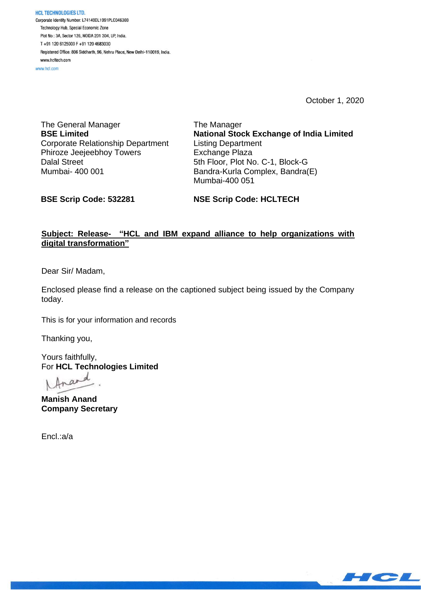**HCL TECHNOLOGIES LTD.** Corporate Identity Number: L74140DL1991PLC046369 Technology Hub, Special Economic Zone Plot No : 3A, Sector 126, NOIDA 201 304, UP, India. T+91 120 6125000 F+91 120 4683030 Registered Office: 806 Siddharth, 96, Nehru Place, New Delhi-110019, India. www.hcltech.com

www.hcl.com

October 1, 2020

The General Manager **BSE Limited** Corporate Relationship Department Phiroze Jeejeebhoy Towers Dalal Street Mumbai- 400 001

The Manager **National Stock Exchange of India Limited** Listing Department Exchange Plaza 5th Floor, Plot No. C-1, Block-G Bandra-Kurla Complex, Bandra(E) Mumbai-400 051

**BSE Scrip Code: 532281**

**NSE Scrip Code: HCLTECH**

# **Subject: Release- "HCL and IBM expand alliance to help organizations with digital transformation"**

Dear Sir/ Madam,

Enclosed please find a release on the captioned subject being issued by the Company today.

This is for your information and records

Thanking you,

Yours faithfully, For **HCL Technologies Limited**

**Manish Anand Company Secretary**

Encl.:a/a

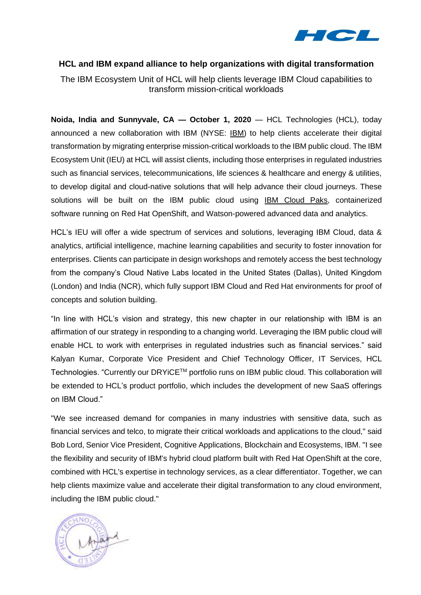

## **HCL and IBM expand alliance to help organizations with digital transformation**

The IBM Ecosystem Unit of HCL will help clients leverage IBM Cloud capabilities to transform mission-critical workloads

**Noida, India and Sunnyvale, CA - October 1, 2020** - HCL Technologies (HCL), today announced a new collaboration with IBM (NYSE: [IBM\)](https://www.ibm.com/investor) to help clients accelerate their digital transformation by migrating enterprise mission-critical workloads to the IBM public cloud. The IBM Ecosystem Unit (IEU) at HCL will assist clients, including those enterprises in regulated industries such as financial services, telecommunications, life sciences & healthcare and energy & utilities, to develop digital and cloud-native solutions that will help advance their cloud journeys. These solutions will be built on the IBM public cloud using IBM [Cloud](https://www.ibm.com/cloud/paks/) Paks, containerized software running on Red Hat OpenShift, and Watson-powered advanced data and analytics.

HCL's IEU will offer a wide spectrum of services and solutions, leveraging IBM Cloud, data & analytics, artificial intelligence, machine learning capabilities and security to foster innovation for enterprises. Clients can participate in design workshops and remotely access the best technology from the company's Cloud Native Labs located in the United States (Dallas), United Kingdom (London) and India (NCR), which fully support IBM Cloud and Red Hat environments for proof of concepts and solution building.

"In line with HCL's vision and strategy, this new chapter in our relationship with IBM is an affirmation of our strategy in responding to a changing world. Leveraging the IBM public cloud will enable HCL to work with enterprises in regulated industries such as financial services." said Kalyan Kumar, Corporate Vice President and Chief Technology Officer, IT Services, HCL Technologies. "Currently our DRYiCE™ portfolio runs on IBM public cloud. This collaboration will be extended to HCL's product portfolio, which includes the development of new SaaS offerings on IBM Cloud."

"We see increased demand for companies in many industries with sensitive data, such as financial services and telco, to migrate their critical workloads and applications to the cloud," said Bob Lord, Senior Vice President, Cognitive Applications, Blockchain and Ecosystems, IBM. "I see the flexibility and security of IBM's hybrid cloud platform built with Red Hat OpenShift at the core, combined with HCL's expertise in technology services, as a clear differentiator. Together, we can help clients maximize value and accelerate their digital transformation to any cloud environment, including the IBM public cloud."

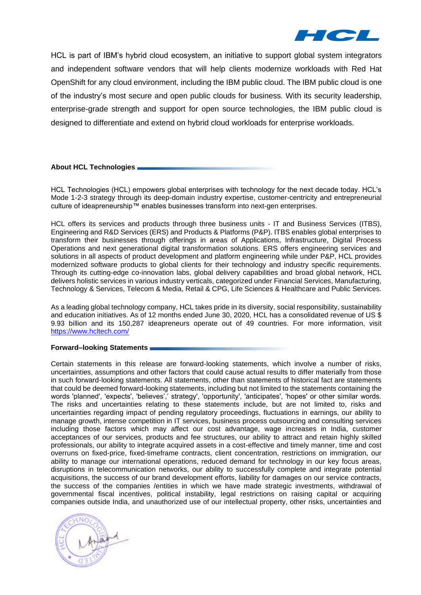

HCL is part of IBM's hybrid cloud ecosystem, an initiative to support global system integrators and independent software vendors that will help clients modernize workloads with Red Hat OpenShift for any cloud environment, including the IBM public cloud. The IBM public cloud is one of the industry's most secure and open public clouds for business. With its security leadership, enterprise-grade strength and support for open source technologies, the IBM public cloud is designed to differentiate and extend on hybrid cloud workloads for enterprise workloads.

## **About HCL Technologies**

HCL Technologies (HCL) empowers global enterprises with technology for the next decade today. HCL's Mode 1-2-3 strategy through its deep-domain industry expertise, customer-centricity and entrepreneurial culture of ideapreneurship™ enables businesses transform into next-gen enterprises.

HCL offers its services and products through three business units - IT and Business Services (ITBS), Engineering and R&D Services (ERS) and Products & Platforms (P&P). ITBS enables global enterprises to transform their businesses through offerings in areas of Applications, Infrastructure, Digital Process Operations and next generational digital transformation solutions. ERS offers engineering services and solutions in all aspects of product development and platform engineering while under P&P, HCL provides modernized software products to global clients for their technology and industry specific requirements. Through its cutting-edge co-innovation labs, global delivery capabilities and broad global network, HCL delivers holistic services in various industry verticals, categorized under Financial Services, Manufacturing, Technology & Services, Telecom & Media, Retail & CPG, Life Sciences & Healthcare and Public Services.

As a leading global technology company, HCL takes pride in its diversity, social responsibility, sustainability and education initiatives. As of 12 months ended June 30, 2020, HCL has a consolidated revenue of US \$ 9.93 billion and its 150,287 ideapreneurs operate out of 49 countries. For more information, visit <https://www.hcltech.com/>

### **Forward–looking Statements**

Certain statements in this release are forward-looking statements, which involve a number of risks, uncertainties, assumptions and other factors that could cause actual results to differ materially from those in such forward-looking statements. All statements, other than statements of historical fact are statements that could be deemed forward-looking statements, including but not limited to the statements containing the words 'planned', 'expects', 'believes',' strategy', 'opportunity', 'anticipates', 'hopes' or other similar words. The risks and uncertainties relating to these statements include, but are not limited to, risks and uncertainties regarding impact of pending regulatory proceedings, fluctuations in earnings, our ability to manage growth, intense competition in IT services, business process outsourcing and consulting services including those factors which may affect our cost advantage, wage increases in India, customer acceptances of our services, products and fee structures, our ability to attract and retain highly skilled professionals, our ability to integrate acquired assets in a cost-effective and timely manner, time and cost overruns on fixed-price, fixed-timeframe contracts, client concentration, restrictions on immigration, our ability to manage our international operations, reduced demand for technology in our key focus areas, disruptions in telecommunication networks, our ability to successfully complete and integrate potential acquisitions, the success of our brand development efforts, liability for damages on our service contracts, the success of the companies /entities in which we have made strategic investments, withdrawal of governmental fiscal incentives, political instability, legal restrictions on raising capital or acquiring companies outside India, and unauthorized use of our intellectual property, other risks, uncertainties and